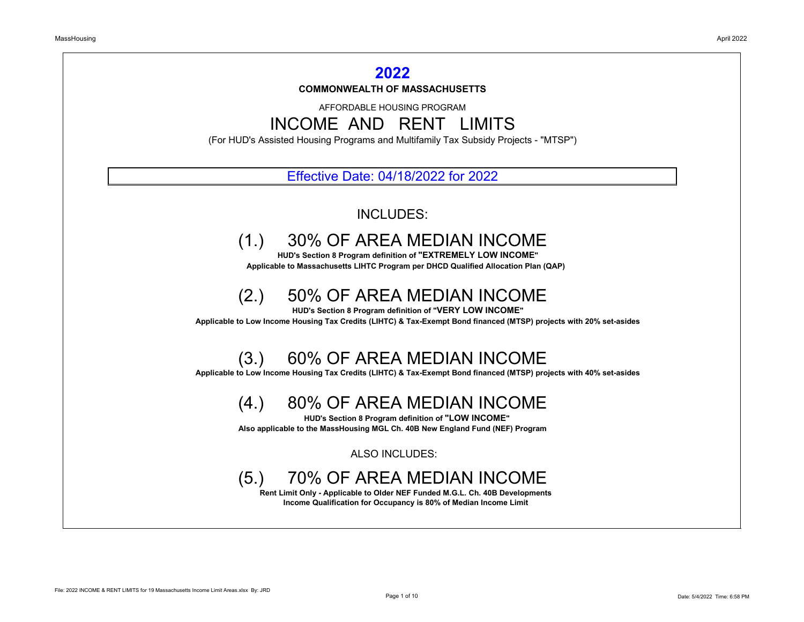AFFORDABLE HOUSING PROGRAM INCOME AND RENT LIMITS

(For HUD's Assisted Housing Programs and Multifamily Tax Subsidy Projects - "MTSP")

### Effective Date: 04/18/2022 for 2022

### INCLUDES:

## (1.) 30% OF AREA MEDIAN INCOME

 **HUD's Section 8 Program definition of "EXTREMELY LOW INCOME" Applicable to Massachusetts LIHTC Program per DHCD Qualified Allocation Plan (QAP)**

## (2.) 50% OF AREA MEDIAN INCOME

 **HUD's Section 8 Program definition of "VERY LOW INCOME" Applicable to Low Income Housing Tax Credits (LIHTC) & Tax-Exempt Bond financed (MTSP) projects with 20% set-asides**

### **COMMONWEALTH OF MASSACHUSETTS 2022**

## (3.) 60% OF AREA MEDIAN INCOME

 **Applicable to Low Income Housing Tax Credits (LIHTC) & Tax-Exempt Bond financed (MTSP) projects with 40% set-asides**

## (4.) 80% OF AREA MEDIAN INCOME

 **HUD's Section 8 Program definition of "LOW INCOME" Also applicable to the MassHousing MGL Ch. 40B New England Fund (NEF) Program**

ALSO INCLUDES:

## (5.) 70% OF AREA MEDIAN INCOME

 **Rent Limit Only - Applicable to Older NEF Funded M.G.L. Ch. 40B Developments Income Qualification for Occupancy is 80% of Median Income Limit**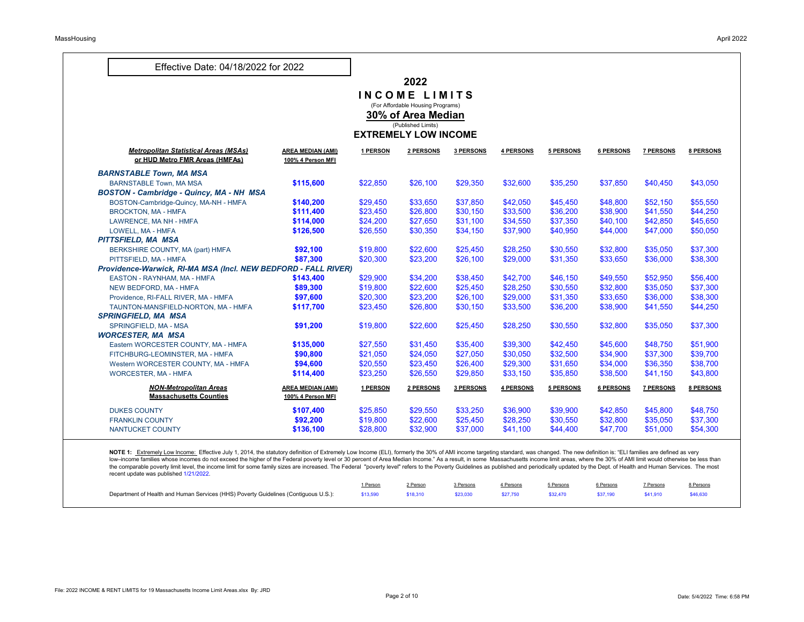| <b>Effective Date: 04/18/2022 for 2022</b>                     |                                               |          |                                          |                  |           |           |                  |                  |                  |
|----------------------------------------------------------------|-----------------------------------------------|----------|------------------------------------------|------------------|-----------|-----------|------------------|------------------|------------------|
|                                                                |                                               |          | 2022                                     |                  |           |           |                  |                  |                  |
|                                                                |                                               |          | <b>NCOME LIMITS</b>                      |                  |           |           |                  |                  |                  |
|                                                                |                                               |          | (For Affordable Housing Programs)        |                  |           |           |                  |                  |                  |
|                                                                |                                               |          | 30% of Area Median<br>(Published Limits) |                  |           |           |                  |                  |                  |
|                                                                |                                               |          | <b>EXTREMELY LOW INCOME</b>              |                  |           |           |                  |                  |                  |
|                                                                |                                               |          |                                          |                  |           |           |                  |                  |                  |
| <b>Metropolitan Statistical Areas (MSAs)</b>                   | <b>AREA MEDIAN (AMI)</b>                      | 1 PERSON | 2 PERSONS                                | <b>3 PERSONS</b> | 4 PERSONS | 5 PERSONS | 6 PERSONS        | <b>7 PERSONS</b> | <b>8 PERSONS</b> |
| or HUD Metro FMR Areas (HMFAs)                                 | 100% 4 Person MFI                             |          |                                          |                  |           |           |                  |                  |                  |
| <b>BARNSTABLE Town, MA MSA</b>                                 |                                               |          |                                          |                  |           |           |                  |                  |                  |
| <b>BARNSTABLE Town, MA MSA</b>                                 | \$115,600                                     | \$22,850 | \$26,100                                 | \$29,350         | \$32,600  | \$35,250  | \$37,850         | \$40,450         | \$43,050         |
| <b>BOSTON - Cambridge - Quincy, MA - NH MSA</b>                |                                               |          |                                          |                  |           |           |                  |                  |                  |
| BOSTON-Cambridge-Quincy, MA-NH - HMFA                          | \$140,200                                     | \$29,450 | \$33,650                                 | \$37,850         | \$42,050  | \$45,450  | \$48,800         | \$52,150         | \$55,550         |
| <b>BROCKTON, MA - HMFA</b>                                     | \$111,400                                     | \$23,450 | \$26,800                                 | \$30,150         | \$33,500  | \$36,200  | \$38,900         | \$41,550         | \$44,250         |
| LAWRENCE, MA NH - HMFA                                         | \$114,000                                     | \$24,200 | \$27,650                                 | \$31,100         | \$34,550  | \$37,350  | \$40,100         | \$42,850         | \$45,650         |
| LOWELL, MA - HMFA                                              | \$126,500                                     | \$26,550 | \$30,350                                 | \$34,150         | \$37,900  | \$40,950  | \$44,000         | \$47,000         | \$50,050         |
| PITTSFIELD, MA MSA                                             |                                               |          |                                          |                  |           |           |                  |                  |                  |
| BERKSHIRE COUNTY, MA (part) HMFA                               | \$92,100                                      | \$19,800 | \$22,600                                 | \$25,450         | \$28,250  | \$30,550  | \$32,800         | \$35,050         | \$37,300         |
| PITTSFIELD, MA - HMFA                                          | \$87,300                                      | \$20,300 | \$23,200                                 | \$26,100         | \$29,000  | \$31,350  | \$33,650         | \$36,000         | \$38,300         |
| Providence-Warwick, RI-MA MSA (Incl. NEW BEDFORD - FALL RIVER) |                                               |          |                                          |                  |           |           |                  |                  |                  |
| EASTON - RAYNHAM, MA - HMFA                                    | \$143,400                                     | \$29,900 | \$34,200                                 | \$38,450         | \$42,700  | \$46,150  | \$49,550         | \$52,950         | \$56,400         |
| NEW BEDFORD, MA - HMFA                                         | \$89,300                                      | \$19,800 | \$22,600                                 | \$25,450         | \$28,250  | \$30,550  | \$32,800         | \$35,050         | \$37,300         |
| Providence, RI-FALL RIVER, MA - HMFA                           | \$97,600                                      | \$20,300 | \$23,200                                 | \$26,100         | \$29,000  | \$31,350  | \$33,650         | \$36,000         | \$38,300         |
| TAUNTON-MANSFIELD-NORTON, MA - HMFA                            | \$117,700                                     | \$23,450 | \$26,800                                 | \$30,150         | \$33,500  | \$36,200  | \$38,900         | \$41,550         | \$44,250         |
| <b>SPRINGFIELD, MA MSA</b>                                     |                                               |          |                                          |                  |           |           |                  |                  |                  |
| <b>SPRINGFIELD, MA - MSA</b>                                   | \$91,200                                      | \$19,800 | \$22,600                                 | \$25,450         | \$28,250  | \$30,550  | \$32,800         | \$35,050         | \$37,300         |
| <b>WORCESTER, MA MSA</b>                                       |                                               |          |                                          |                  |           |           |                  |                  |                  |
| Eastern WORCESTER COUNTY, MA - HMFA                            | \$135,000                                     | \$27,550 | \$31,450                                 | \$35,400         | \$39,300  | \$42,450  | \$45,600         | \$48,750         | \$51,900         |
| FITCHBURG-LEOMINSTER, MA - HMFA                                | \$90,800                                      | \$21,050 | \$24,050                                 | \$27,050         | \$30,050  | \$32,500  | \$34,900         | \$37,300         | \$39,700         |
| Western WORCESTER COUNTY, MA - HMFA                            | \$94,600                                      | \$20,550 | \$23,450                                 | \$26,400         | \$29,300  | \$31,650  | \$34,000         | \$36,350         | \$38,700         |
| <b>WORCESTER, MA - HMFA</b>                                    | \$114,400                                     | \$23,250 | \$26,550                                 | \$29,850         | \$33,150  | \$35,850  | \$38,500         | \$41,150         | \$43,800         |
| <b>NON-Metropolitan Areas</b><br><b>Massachusetts Counties</b> | <b>AREA MEDIAN (AMI)</b><br>100% 4 Person MFI | 1 PERSON | 2 PERSONS                                | <b>3 PERSONS</b> | 4 PERSONS | 5 PERSONS | <b>6 PERSONS</b> | <b>7 PERSONS</b> | <b>8 PERSONS</b> |
| <b>DUKES COUNTY</b>                                            | \$107,400                                     | \$25,850 | \$29,550                                 | \$33,250         | \$36,900  | \$39,900  | \$42,850         | \$45,800         | \$48,750         |
| <b>FRANKLIN COUNTY</b>                                         | \$92,200                                      | \$19,800 | \$22,600                                 | \$25,450         | \$28,250  | \$30,550  | \$32,800         | \$35,050         | \$37,300         |
| NANTUCKET COUNTY                                               | \$136,100                                     | \$28,800 | \$32,900                                 | \$37,000         | \$41,100  | \$44,400  | \$47,700         | \$51,000         | \$54,300         |

NOTE 1: Extremely Low Income: Effective July 1, 2014, the statutory definition of Extremely Low Income (ELI), formerly the 30% of AMI income targeting standard, was changed. The new definition is: "ELI families are defined low–income families whose incomes do not exceed the higher of the Federal poverty level or 30 percent of Area Median Income." As a result, in some Massachusetts income limit areas, where the 30% of AMI limit would otherwis the comparable poverty limit level, the income limit for some family sizes are increased. The Federal "poverty level" refers to the Poverty Guidelines as published and periodically updated by the Dept. of Health and Human recent update was published 1/21/2022.

|                                                                                     | l Person | 2 Person | 3 Persons | l Persons l | 5 Persons | 6 Persons | 7 Persons | 8 Persons |
|-------------------------------------------------------------------------------------|----------|----------|-----------|-------------|-----------|-----------|-----------|-----------|
| Department of Health and Human Services (HHS) Poverty Guidelines (Contiguous U.S.): | \$13,590 | \$18,310 | \$23,030  | \$27,750    | \$32,470  | \$37.190  | \$41.910  | \$46,630  |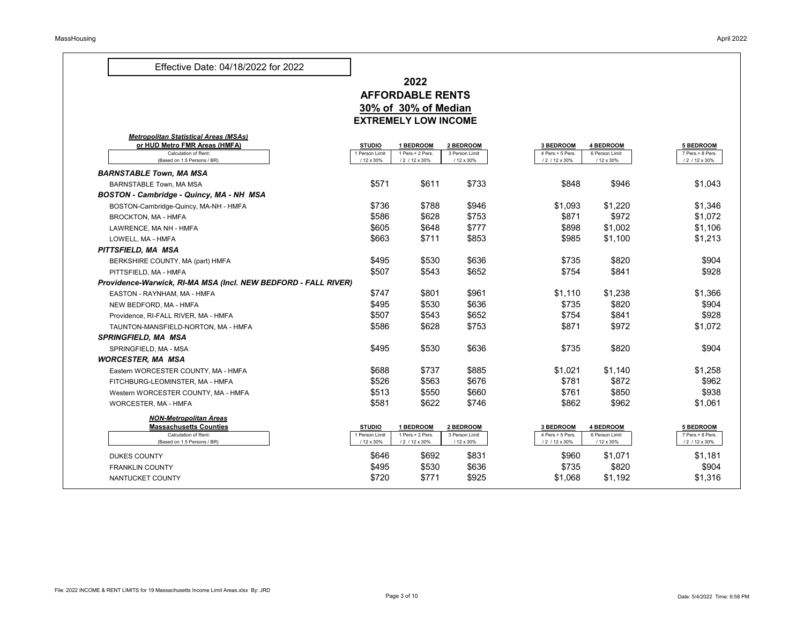### **2022 AFFORDABLE RENTS 30% of 30% of Median EXTREMELY LOW INCOME**

|                                                                |                                 | EAIREMELI LUW INUUME               |                              |                                      |                                    |                                      |
|----------------------------------------------------------------|---------------------------------|------------------------------------|------------------------------|--------------------------------------|------------------------------------|--------------------------------------|
| <b>Metropolitan Statistical Areas (MSAs)</b>                   |                                 |                                    |                              |                                      |                                    |                                      |
| or HUD Metro FMR Areas (HMFA)<br><b>Calculation of Rent:</b>   | <b>STUDIO</b><br>I Person Limit | <b>BEDROOM</b><br>1 Pers.+ 2 Pers. | 2 BEDROOM<br>3 Person Limit  | <b>3 BEDROOM</b><br>4 Pers.+ 5 Pers. | <b>4 BEDROOM</b><br>6 Person Limit | <b>5 BEDROOM</b><br>7 Pers.+ 8 Pers. |
| (Based on 1.5 Persons / BR)                                    | / 12 x 30%                      | / 2 / 12 x 30%                     | / 12 x 30%                   | / 2 / 12 x 30%                       | / 12 x 30%                         | / 2 / 12 x 30%                       |
| <b>BARNSTABLE Town, MA MSA</b>                                 |                                 |                                    |                              |                                      |                                    |                                      |
| <b>BARNSTABLE Town, MA MSA</b>                                 | \$571                           | \$611                              | \$733                        | \$848                                | \$946                              | \$1,043                              |
| <b>BOSTON - Cambridge - Quincy, MA - NH MSA</b>                |                                 |                                    |                              |                                      |                                    |                                      |
| BOSTON-Cambridge-Quincy, MA-NH - HMFA                          | \$736                           | \$788                              | \$946                        | \$1,093                              | \$1,220                            | \$1,346                              |
| <b>BROCKTON, MA - HMFA</b>                                     | \$586                           | \$628                              | \$753                        | \$871                                | \$972                              | \$1,072                              |
| LAWRENCE, MA NH - HMFA                                         | \$605                           | \$648                              | \$777                        | \$898                                | \$1,002                            | \$1,106                              |
| LOWELL, MA - HMFA                                              | \$663                           | \$711                              | \$853                        | \$985                                | \$1,100                            | \$1,213                              |
| PITTSFIELD, MA MSA                                             |                                 |                                    |                              |                                      |                                    |                                      |
| BERKSHIRE COUNTY, MA (part) HMFA                               | \$495                           | \$530                              | \$636                        | \$735                                | \$820                              | \$904                                |
| PITTSFIELD, MA - HMFA                                          | \$507                           | \$543                              | \$652                        | \$754                                | \$841                              | \$928                                |
| Providence-Warwick, RI-MA MSA (Incl. NEW BEDFORD - FALL RIVER) |                                 |                                    |                              |                                      |                                    |                                      |
| EASTON - RAYNHAM, MA - HMFA                                    | \$747                           | \$801                              | \$961                        | \$1,110                              | \$1,238                            | \$1,366                              |
| NEW BEDFORD, MA - HMFA                                         | \$495                           | \$530                              | \$636                        | \$735                                | \$820                              | \$904                                |
| Providence, RI-FALL RIVER, MA - HMFA                           | \$507                           | \$543                              | \$652                        | \$754                                | \$841                              | \$928                                |
| TAUNTON-MANSFIELD-NORTON, MA - HMFA                            | \$586                           | \$628                              | \$753                        | \$871                                | \$972                              | \$1,072                              |
| <b>SPRINGFIELD, MA MSA</b>                                     |                                 |                                    |                              |                                      |                                    |                                      |
| SPRINGFIELD, MA - MSA                                          | \$495                           | \$530                              | \$636                        | \$735                                | \$820                              | \$904                                |
| <b>WORCESTER, MA MSA</b>                                       |                                 |                                    |                              |                                      |                                    |                                      |
| Eastern WORCESTER COUNTY, MA - HMFA                            | \$688                           | \$737                              | \$885                        | \$1,021                              | \$1,140                            | \$1,258                              |
| FITCHBURG-LEOMINSTER, MA - HMFA                                | \$526                           | \$563                              | \$676                        | \$781                                | \$872                              | \$962                                |
| Western WORCESTER COUNTY, MA - HMFA                            | \$513                           | \$550                              | \$660                        | \$761                                | \$850                              | \$938                                |
| <b>WORCESTER, MA - HMFA</b>                                    | \$581                           | \$622                              | \$746                        | \$862                                | \$962                              | \$1,061                              |
| <b>NON-Metropolitan Areas</b>                                  |                                 |                                    |                              |                                      |                                    |                                      |
| <b>Massachusetts Counties</b>                                  | <b>STUDIO</b>                   | <b>BEDROOM</b>                     | 2 BEDROOM                    | <b>3 BEDROOM</b>                     | <b>4 BEDROOM</b>                   | <b>5 BEDROOM</b>                     |
| <b>Calculation of Rent:</b><br>(Based on 1.5 Persons / BR)     | 1 Person Limit<br>/ 12 x 30%    | 1 Pers.+ 2 Pers.<br>/ 2 / 12 x 30% | 3 Person Limit<br>/ 12 x 30% | 4 Pers.+ 5 Pers.<br>/ 2 / 12 x 30%   | 6 Person Limit<br>/ 12 x 30%       | 7 Pers.+ 8 Pers.<br>/ 2 / 12 x 30%   |
| <b>DUKES COUNTY</b>                                            | \$646                           | \$692                              | \$831                        | \$960                                | \$1,071                            | \$1,181                              |
| <b>FRANKLIN COUNTY</b>                                         | \$495                           | \$530                              | \$636                        | \$735                                | \$820                              | \$904                                |
| NANTUCKET COUNTY                                               | \$720                           | \$771                              | \$925                        | \$1,068                              | \$1,192                            | \$1,316                              |
|                                                                |                                 |                                    |                              |                                      |                                    |                                      |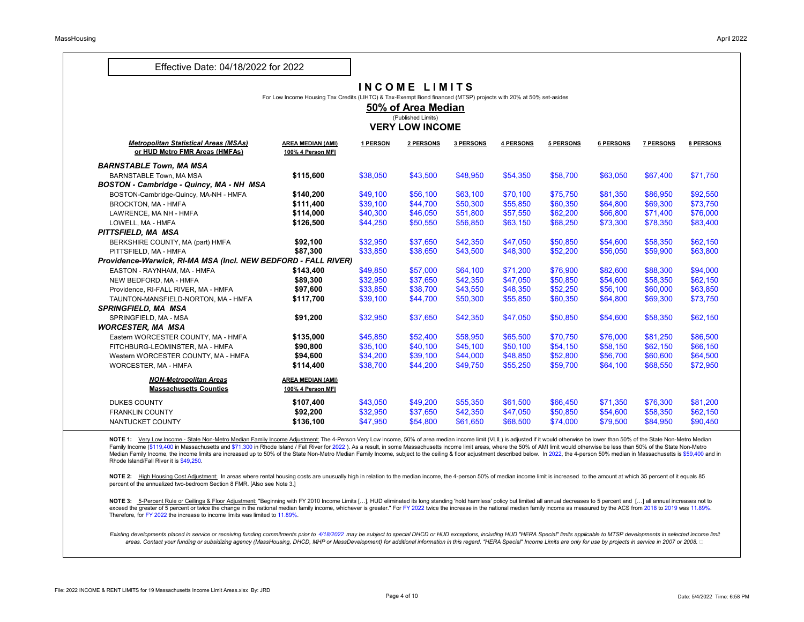### **I N C O M E L I M I T S**

|                                                                                | For Low Income Housing Tax Credits (LIHTC) & Tax-Exempt Bond financed (MTSP) projects with 20% at 50% set-asides | I I I V V I II ⊨ | 50% of Area Median                           |                  |           |           |           |                  |                  |
|--------------------------------------------------------------------------------|------------------------------------------------------------------------------------------------------------------|------------------|----------------------------------------------|------------------|-----------|-----------|-----------|------------------|------------------|
|                                                                                |                                                                                                                  |                  | (Published Limits)<br><b>VERY LOW INCOME</b> |                  |           |           |           |                  |                  |
|                                                                                |                                                                                                                  |                  |                                              |                  |           |           |           |                  |                  |
| <b>Metropolitan Statistical Areas (MSAs)</b><br>or HUD Metro FMR Areas (HMFAs) | <b>AREA MEDIAN (AMI)</b><br>100% 4 Person MFI                                                                    | <u>1 PERSON</u>  | 2 PERSONS                                    | <b>3 PERSONS</b> | 4 PERSONS | 5 PERSONS | 6 PERSONS | <b>7 PERSONS</b> | <b>8 PERSONS</b> |
| <b>BARNSTABLE Town, MA MSA</b>                                                 |                                                                                                                  |                  |                                              |                  |           |           |           |                  |                  |
| <b>BARNSTABLE Town, MA MSA</b>                                                 | \$115,600                                                                                                        | \$38,050         | \$43,500                                     | \$48,950         | \$54,350  | \$58,700  | \$63,050  | \$67,400         | \$71,750         |
| <b>BOSTON - Cambridge - Quincy, MA - NH MSA</b>                                |                                                                                                                  |                  |                                              |                  |           |           |           |                  |                  |
| BOSTON-Cambridge-Quincy, MA-NH - HMFA                                          | \$140,200                                                                                                        | \$49,100         | \$56,100                                     | \$63,100         | \$70,100  | \$75,750  | \$81,350  | \$86,950         | \$92,550         |
| <b>BROCKTON, MA-HMFA</b>                                                       | \$111,400                                                                                                        | \$39,100         | \$44,700                                     | \$50,300         | \$55,850  | \$60,350  | \$64,800  | \$69,300         | \$73,750         |
| LAWRENCE, MA NH - HMFA                                                         | \$114,000                                                                                                        | \$40,300         | \$46,050                                     | \$51,800         | \$57,550  | \$62,200  | \$66,800  | \$71,400         | \$76,000         |
| LOWELL, MA - HMFA                                                              | \$126,500                                                                                                        | \$44,250         | \$50,550                                     | \$56,850         | \$63,150  | \$68,250  | \$73,300  | \$78,350         | \$83,400         |
| PITTSFIELD, MA MSA                                                             |                                                                                                                  |                  |                                              |                  |           |           |           |                  |                  |
| BERKSHIRE COUNTY, MA (part) HMFA                                               | \$92,100                                                                                                         | \$32,950         | \$37,650                                     | \$42,350         | \$47,050  | \$50,850  | \$54,600  | \$58,350         | \$62,150         |
| PITTSFIELD, MA - HMFA                                                          | \$87,300                                                                                                         | \$33,850         | \$38,650                                     | \$43,500         | \$48,300  | \$52,200  | \$56,050  | \$59,900         | \$63,800         |
| Providence-Warwick, RI-MA MSA (Incl. NEW BEDFORD - FALL RIVER)                 |                                                                                                                  |                  |                                              |                  |           |           |           |                  |                  |
| EASTON - RAYNHAM, MA - HMFA                                                    | \$143,400                                                                                                        | \$49,850         | \$57,000                                     | \$64,100         | \$71,200  | \$76,900  | \$82,600  | \$88,300         | \$94,000         |
| NEW BEDFORD, MA - HMFA                                                         | \$89,300                                                                                                         | \$32,950         | \$37,650                                     | \$42,350         | \$47,050  | \$50,850  | \$54,600  | \$58,350         | \$62,150         |
| Providence, RI-FALL RIVER, MA - HMFA                                           | \$97,600                                                                                                         | \$33,850         | \$38,700                                     | \$43,550         | \$48,350  | \$52,250  | \$56,100  | \$60,000         | \$63,850         |
| TAUNTON-MANSFIELD-NORTON, MA - HMFA                                            | \$117,700                                                                                                        | \$39,100         | \$44,700                                     | \$50,300         | \$55,850  | \$60,350  | \$64,800  | \$69,300         | \$73,750         |
| <b>SPRINGFIELD, MA MSA</b>                                                     |                                                                                                                  |                  |                                              |                  |           |           |           |                  |                  |
| SPRINGFIELD, MA - MSA                                                          | \$91,200                                                                                                         | \$32,950         | \$37,650                                     | \$42,350         | \$47,050  | \$50,850  | \$54,600  | \$58,350         | \$62,150         |
| <b>WORCESTER, MA MSA</b>                                                       |                                                                                                                  |                  |                                              |                  |           |           |           |                  |                  |
| Eastern WORCESTER COUNTY, MA - HMFA                                            | \$135,000                                                                                                        | \$45,850         | \$52,400                                     | \$58,950         | \$65,500  | \$70,750  | \$76,000  | \$81,250         | \$86,500         |
| FITCHBURG-LEOMINSTER, MA - HMFA                                                | \$90,800                                                                                                         | \$35,100         | \$40,100                                     | \$45,100         | \$50,100  | \$54,150  | \$58,150  | \$62,150         | \$66,150         |
| Western WORCESTER COUNTY, MA - HMFA                                            | \$94,600                                                                                                         | \$34,200         | \$39,100                                     | \$44,000         | \$48,850  | \$52,800  | \$56,700  | \$60,600         | \$64,500         |
| <b>WORCESTER, MA - HMFA</b>                                                    | \$114,400                                                                                                        | \$38,700         | \$44,200                                     | \$49,750         | \$55,250  | \$59,700  | \$64,100  | \$68,550         | \$72,950         |
| <b>NON-Metropolitan Areas</b>                                                  | <b>AREA MEDIAN (AMI)</b>                                                                                         |                  |                                              |                  |           |           |           |                  |                  |
| <b>Massachusetts Counties</b>                                                  | 100% 4 Person MFI                                                                                                |                  |                                              |                  |           |           |           |                  |                  |
| <b>DUKES COUNTY</b>                                                            | \$107,400                                                                                                        | \$43,050         | \$49,200                                     | \$55,350         | \$61,500  | \$66,450  | \$71,350  | \$76,300         | \$81,200         |
| <b>FRANKLIN COUNTY</b>                                                         | \$92,200                                                                                                         | \$32,950         | \$37,650                                     | \$42,350         | \$47,050  | \$50,850  | \$54,600  | \$58,350         | \$62,150         |
| NANTUCKET COUNTY                                                               | \$136,100                                                                                                        | \$47,950         | \$54,800                                     | \$61,650         | \$68,500  | \$74,000  | \$79,500  | \$84,950         | \$90,450         |

NOTE 2: High Housing Cost Adjustment: In areas where rental housing costs are unusually high in relation to the median income, the 4-person 50% of median income limit is increased to the amount at which 35 percent of it eq percent of the annualized two-bedroom Section 8 FMR. [Also see Note 3.]

NOTE 1: Very Low Income - State Non-Metro Median Family Income Adjustment: The 4-Person Very Low Income, 50% of area median income limit (VLIL) is adjusted if it would otherwise be lower than 50% of the State Non-Metro Med Family Income (\$119,400 in Massachusetts and \$71,300 in Rhode Island / Fall River for 2022). As a result, in some Massachusetts income limit areas, where the 50% of AMI limit would otherwise be less than 50% of the State N Median Family Income, the income limits are increased up to 50% of the State Non-Metro Median Family Income, subject to the ceiling & floor adjustment described below. In 2022, the 4-person 50% median in Massachusetts is \$ Rhode Island/Fall River it is \$49,250.

NOTE 3: 5-Percent Rule or Ceilings & Floor Adjustment: "Beginning with FY 2010 Income Limits [...], HUD eliminated its long standing 'hold harmless' policy but limited all annual decreases to 5 percent and [...] all annual exceed the greater of 5 percent or twice the change in the national median family income, whichever is greater." For FY 2022 twice the increase in the national median family income as measured by the ACS from 2018 to 2019 Therefore, for FY 2022 the increase to income limits was limited to 11.89%.

Existing developments placed in service or receiving funding commitments prior to 4/18/2022 may be subject to special DHCD or HUD exceptions, including HUD "HERA Special" limits applicable to MTSP developments in selected areas. Contact your funding or subsidizing agency (MassHousing, DHCD, MHP or MassDevelopment) for additional information in this regard. "HERA Special" Income Limits are only for use by projects in service in 2007 or 2008.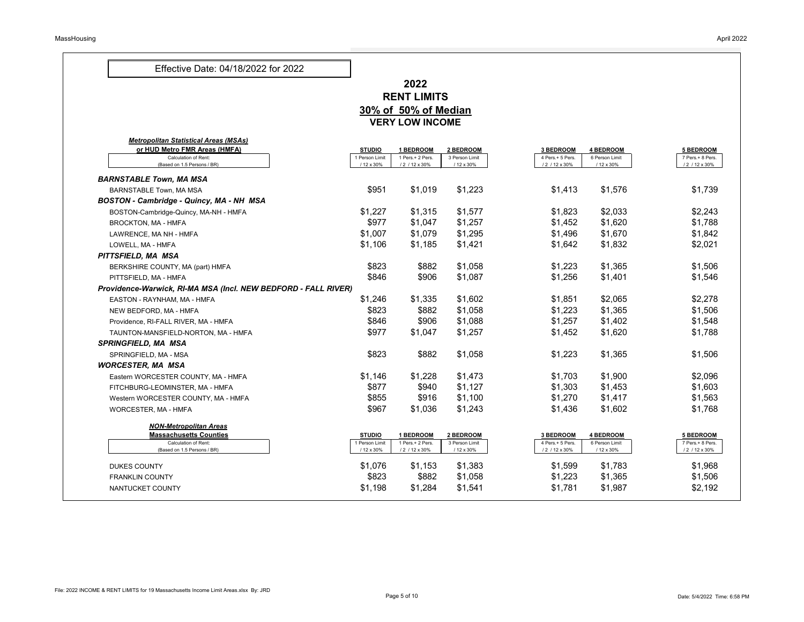### **2022 RENT LIMITS 30% of 50% of Median VERY LOW INCOME**

| or HUD Metro FMR Areas (HMFA)                                  | <b>STUDIO</b>                | <b>BEDROOM</b>                     | 2 BEDROOM                    | <b>3 BEDROOM</b>                   | <b>4 BEDROOM</b>             | <b>5 BEDROOM</b>                   |
|----------------------------------------------------------------|------------------------------|------------------------------------|------------------------------|------------------------------------|------------------------------|------------------------------------|
| <b>Calculation of Rent:</b>                                    | 1 Person Limit               | 1 Pers.+ 2 Pers.                   | 3 Person Limit               | 4 Pers.+ 5 Pers.                   | 6 Person Limit               | 7 Pers.+ 8 Pers.                   |
| (Based on 1.5 Persons / BR)                                    | / 12 x 30%                   | / 2 / 12 x 30%                     | / 12 x 30%                   | / 2 / 12 x 30%                     | / 12 x 30%                   | / 2 / 12 x 30%                     |
| <b>BARNSTABLE Town, MA MSA</b>                                 |                              |                                    |                              |                                    |                              |                                    |
| <b>BARNSTABLE Town, MA MSA</b>                                 | \$951                        | \$1,019                            | \$1,223                      | \$1,413                            | \$1,576                      | \$1,739                            |
| <b>BOSTON - Cambridge - Quincy, MA - NH MSA</b>                |                              |                                    |                              |                                    |                              |                                    |
| BOSTON-Cambridge-Quincy, MA-NH - HMFA                          | \$1,227                      | \$1,315                            | \$1,577                      | \$1,823                            | \$2,033                      | \$2,243                            |
| <b>BROCKTON, MA - HMFA</b>                                     | \$977                        | \$1,047                            | \$1,257                      | \$1,452                            | \$1,620                      | \$1,788                            |
| LAWRENCE, MA NH - HMFA                                         | \$1,007                      | \$1,079                            | \$1,295                      | \$1,496                            | \$1,670                      | \$1,842                            |
| LOWELL, MA - HMFA                                              | \$1,106                      | \$1,185                            | \$1,421                      | \$1,642                            | \$1,832                      | \$2,021                            |
| PITTSFIELD, MA MSA                                             |                              |                                    |                              |                                    |                              |                                    |
| BERKSHIRE COUNTY, MA (part) HMFA                               | \$823                        | \$882                              | \$1,058                      | \$1,223                            | \$1,365                      | \$1,506                            |
| PITTSFIELD, MA - HMFA                                          | \$846                        | \$906                              | \$1,087                      | \$1,256                            | \$1,401                      | \$1,546                            |
| Providence-Warwick, RI-MA MSA (Incl. NEW BEDFORD - FALL RIVER) |                              |                                    |                              |                                    |                              |                                    |
| EASTON - RAYNHAM, MA - HMFA                                    | \$1,246                      | \$1,335                            | \$1,602                      | \$1,851                            | \$2,065                      | \$2,278                            |
| NEW BEDFORD, MA - HMFA                                         | \$823                        | \$882                              | \$1,058                      | \$1,223                            | \$1,365                      | \$1,506                            |
| Providence, RI-FALL RIVER, MA - HMFA                           | \$846                        | \$906                              | \$1,088                      | \$1,257                            | \$1,402                      | \$1,548                            |
| TAUNTON-MANSFIELD-NORTON, MA - HMFA                            | \$977                        | \$1,047                            | \$1,257                      | \$1,452                            | \$1,620                      | \$1,788                            |
| <b>SPRINGFIELD, MA MSA</b>                                     |                              |                                    |                              |                                    |                              |                                    |
| SPRINGFIELD, MA - MSA                                          | \$823                        | \$882                              | \$1,058                      | \$1,223                            | \$1,365                      | \$1,506                            |
| <b>WORCESTER, MA MSA</b>                                       |                              |                                    |                              |                                    |                              |                                    |
| Eastern WORCESTER COUNTY, MA - HMFA                            | \$1,146                      | \$1,228                            | \$1,473                      | \$1,703                            | \$1,900                      | \$2,096                            |
| FITCHBURG-LEOMINSTER, MA - HMFA                                | \$877                        | \$940                              | \$1,127                      | \$1,303                            | \$1,453                      | \$1,603                            |
| Western WORCESTER COUNTY, MA - HMFA                            | \$855                        | \$916                              | \$1,100                      | \$1,270                            | \$1,417                      | \$1,563                            |
| <b>WORCESTER, MA - HMFA</b>                                    | \$967                        | \$1,036                            | \$1,243                      | \$1,436                            | \$1,602                      | \$1,768                            |
| <b>NON-Metropolitan Areas</b>                                  |                              |                                    |                              |                                    |                              |                                    |
| <b>Massachusetts Counties</b>                                  | <b>STUDIO</b>                | <b>BEDROOM</b>                     | 2 BEDROOM                    | <b>3 BEDROOM</b>                   | <b>4 BEDROOM</b>             | <b>5 BEDROOM</b>                   |
| <b>Calculation of Rent:</b><br>(Based on 1.5 Persons / BR)     | 1 Person Limit<br>/ 12 x 30% | 1 Pers.+ 2 Pers.<br>/ 2 / 12 x 30% | 3 Person Limit<br>/ 12 x 30% | 4 Pers.+ 5 Pers.<br>/ 2 / 12 x 30% | 6 Person Limit<br>/ 12 x 30% | 7 Pers.+ 8 Pers.<br>/ 2 / 12 x 30% |
| <b>DUKES COUNTY</b>                                            | \$1,076                      | \$1,153                            | \$1,383                      | \$1,599                            | \$1,783                      | \$1,968                            |
| <b>FRANKLIN COUNTY</b>                                         | \$823                        | \$882                              | \$1,058                      | \$1,223                            | \$1,365                      | \$1,506                            |
| NANTUCKET COUNTY                                               | \$1,198                      | \$1,284                            | \$1,541                      | \$1,781                            | \$1,987                      | \$2,192                            |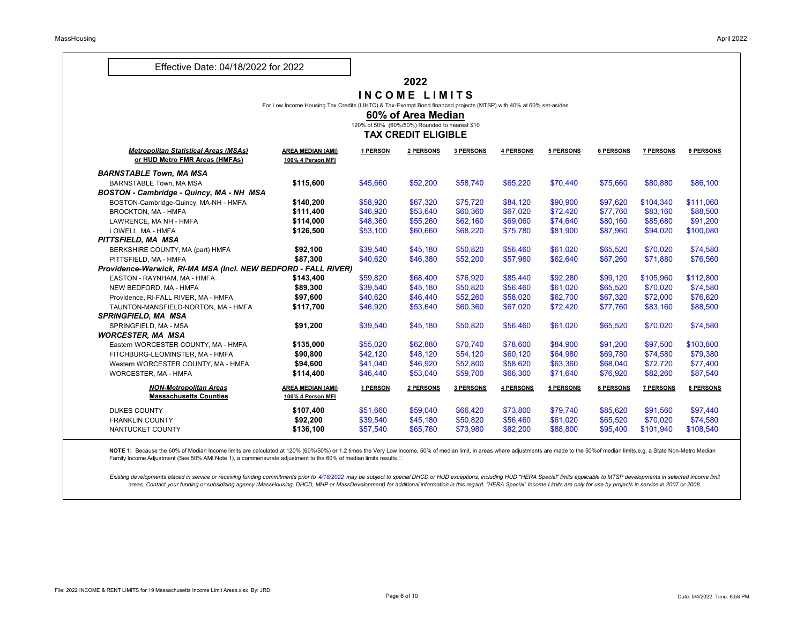#### **2022**

#### **I N C O M E L I M I T S**

For Low Income Housing Tax Credits (LIHTC) & Tax-Exempt Bond financed projects (MTSP) with 40% at 60% set-asides

#### **60% of Area Median**

120% of 50% (60%/50%) Rounded to nearest \$10

#### **TAX CREDIT ELIGIBLE**

|                                                                                |                                               |          | <u>IAA UKEVII ELIVIDLE</u> |                  |           |           |                  |                  |                  |
|--------------------------------------------------------------------------------|-----------------------------------------------|----------|----------------------------|------------------|-----------|-----------|------------------|------------------|------------------|
| <b>Metropolitan Statistical Areas (MSAs)</b><br>or HUD Metro FMR Areas (HMFAs) | <b>AREA MEDIAN (AMI)</b><br>100% 4 Person MFI | 1 PERSON | 2 PERSONS                  | <b>3 PERSONS</b> | 4 PERSONS | 5 PERSONS | 6 PERSONS        | <b>7 PERSONS</b> | <b>8 PERSONS</b> |
| <b>BARNSTABLE Town, MA MSA</b>                                                 |                                               |          |                            |                  |           |           |                  |                  |                  |
| <b>BARNSTABLE Town, MA MSA</b>                                                 | \$115,600                                     | \$45,660 | \$52,200                   | \$58,740         | \$65,220  | \$70,440  | \$75,660         | \$80,880         | \$86,100         |
| <b>BOSTON - Cambridge - Quincy, MA - NH MSA</b>                                |                                               |          |                            |                  |           |           |                  |                  |                  |
| BOSTON-Cambridge-Quincy, MA-NH - HMFA                                          | \$140,200                                     | \$58,920 | \$67,320                   | \$75,720         | \$84,120  | \$90,900  | \$97,620         | \$104,340        | \$111,060        |
| <b>BROCKTON, MA - HMFA</b>                                                     | \$111,400                                     | \$46,920 | \$53,640                   | \$60,360         | \$67,020  | \$72,420  | \$77,760         | \$83,160         | \$88,500         |
| LAWRENCE, MA NH - HMFA                                                         | \$114,000                                     | \$48,360 | \$55,260                   | \$62,160         | \$69,060  | \$74,640  | \$80,160         | \$85,680         | \$91,200         |
| LOWELL, MA - HMFA                                                              | \$126,500                                     | \$53,100 | \$60,660                   | \$68,220         | \$75,780  | \$81,900  | \$87,960         | \$94,020         | \$100,080        |
| PITTSFIELD, MA MSA                                                             |                                               |          |                            |                  |           |           |                  |                  |                  |
| BERKSHIRE COUNTY, MA (part) HMFA                                               | \$92,100                                      | \$39,540 | \$45,180                   | \$50,820         | \$56,460  | \$61,020  | \$65,520         | \$70,020         | \$74,580         |
| PITTSFIELD, MA - HMFA                                                          | \$87,300                                      | \$40,620 | \$46,380                   | \$52,200         | \$57,960  | \$62,640  | \$67,260         | \$71,880         | \$76,560         |
| Providence-Warwick, RI-MA MSA (Incl. NEW BEDFORD - FALL RIVER)                 |                                               |          |                            |                  |           |           |                  |                  |                  |
| EASTON - RAYNHAM, MA - HMFA                                                    | \$143,400                                     | \$59,820 | \$68,400                   | \$76,920         | \$85,440  | \$92,280  | \$99,120         | \$105,960        | \$112,800        |
| NEW BEDFORD, MA - HMFA                                                         | \$89,300                                      | \$39,540 | \$45,180                   | \$50,820         | \$56,460  | \$61,020  | \$65,520         | \$70,020         | \$74,580         |
| Providence, RI-FALL RIVER, MA - HMFA                                           | \$97,600                                      | \$40,620 | \$46,440                   | \$52,260         | \$58,020  | \$62,700  | \$67,320         | \$72,000         | \$76,620         |
| TAUNTON-MANSFIELD-NORTON, MA - HMFA                                            | \$117,700                                     | \$46,920 | \$53,640                   | \$60,360         | \$67,020  | \$72,420  | \$77,760         | \$83,160         | \$88,500         |
| <b>SPRINGFIELD, MA MSA</b>                                                     |                                               |          |                            |                  |           |           |                  |                  |                  |
| SPRINGFIELD, MA - MSA                                                          | \$91,200                                      | \$39,540 | \$45,180                   | \$50,820         | \$56,460  | \$61,020  | \$65,520         | \$70,020         | \$74,580         |
| <b>WORCESTER, MA MSA</b>                                                       |                                               |          |                            |                  |           |           |                  |                  |                  |
| Eastern WORCESTER COUNTY, MA - HMFA                                            | \$135,000                                     | \$55,020 | \$62,880                   | \$70,740         | \$78,600  | \$84,900  | \$91,200         | \$97,500         | \$103,800        |
| FITCHBURG-LEOMINSTER, MA - HMFA                                                | \$90,800                                      | \$42,120 | \$48,120                   | \$54,120         | \$60,120  | \$64,980  | \$69,780         | \$74,580         | \$79,380         |
| Western WORCESTER COUNTY, MA - HMFA                                            | \$94,600                                      | \$41,040 | \$46,920                   | \$52,800         | \$58,620  | \$63,360  | \$68,040         | \$72,720         | \$77,400         |
| WORCESTER, MA - HMFA                                                           | \$114,400                                     | \$46,440 | \$53,040                   | \$59,700         | \$66,300  | \$71,640  | \$76,920         | \$82,260         | \$87,540         |
| <b>NON-Metropolitan Areas</b>                                                  | <b>AREA MEDIAN (AMI)</b>                      | 1 PERSON | 2 PERSONS                  | <b>3 PERSONS</b> | 4 PERSONS | 5 PERSONS | <b>6 PERSONS</b> | <b>7 PERSONS</b> | <b>8 PERSONS</b> |
| <b>Massachusetts Counties</b>                                                  | <b>100% 4 Person MFI</b>                      |          |                            |                  |           |           |                  |                  |                  |
| <b>DUKES COUNTY</b>                                                            | \$107,400                                     | \$51,660 | \$59,040                   | \$66,420         | \$73,800  | \$79,740  | \$85,620         | \$91,560         | \$97,440         |
| <b>FRANKLIN COUNTY</b>                                                         | \$92,200                                      | \$39,540 | \$45,180                   | \$50,820         | \$56,460  | \$61,020  | \$65,520         | \$70,020         | \$74,580         |
| NANTUCKET COUNTY                                                               | \$136,100                                     | \$57,540 | \$65,760                   | \$73,980         | \$82,200  | \$88,800  | \$95,400         | \$101,940        | \$108,540        |

NOTE 1: Because the 60% of Median Income limits are calculated at 120% (60%/50%) or 1.2 times the Very Low Income, 50% of median limit, in areas where adjustments are made to the 50% of median limits,e.g. a State Non-Metro Family Income Adjustment (See 50% AMI Note 1), a commensurate adjustment to the 60% of median limits results.  $\Box$ 

Existing developments placed in service or receiving funding commitments prior to 4/18/2022 may be subject to special DHCD or HUD exceptions, including HUD "HERA Special" limits applicable to MTSP developments in selected areas. Contact your funding or subsidizing agency (MassHousing, DHCD, MHP or MassDevelopment) for additional information in this regard. "HERA Special" Income Limits are only for use by projects in service in 2007 or 2008.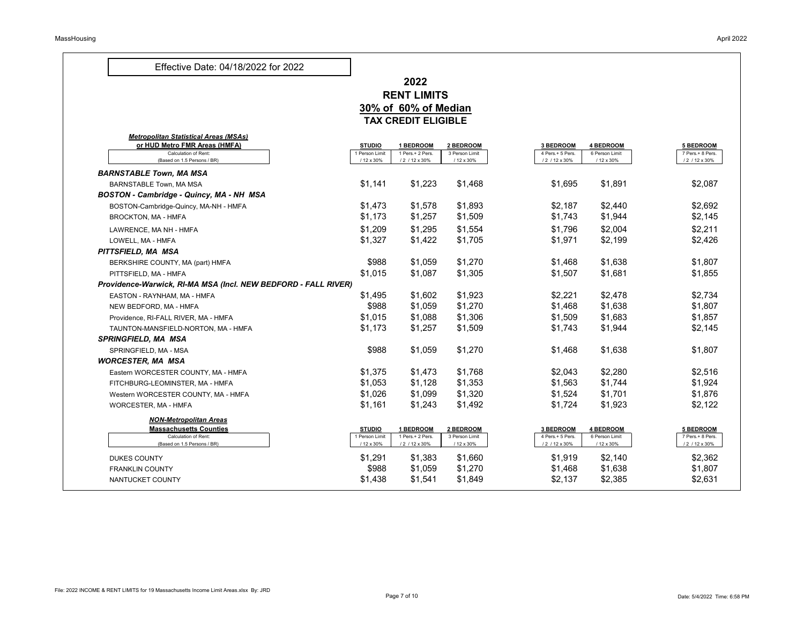### **2022 RENT LIMITS 30% of 60% of Median TAX CREDIT ELIGIBLE**

|                                                                |                              | <u>IAA VRLVII LLIVIDLL</u>        |                              |                                    |                              |                                    |
|----------------------------------------------------------------|------------------------------|-----------------------------------|------------------------------|------------------------------------|------------------------------|------------------------------------|
| <b>Metropolitan Statistical Areas (MSAs)</b>                   |                              |                                   |                              |                                    |                              |                                    |
| or HUD Metro FMR Areas (HMFA)                                  | <b>STUDIO</b>                | <b>BEDROOM</b>                    | 2 BEDROOM                    | <b>3 BEDROOM</b>                   | <b>4 BEDROOM</b>             | <b>5 BEDROOM</b>                   |
| <b>Calculation of Rent:</b><br>(Based on 1.5 Persons / BR)     | 1 Person Limit<br>/ 12 x 30% | 1 Pers.+ 2 Pers.<br>/2 / 12 x 30% | 3 Person Limit<br>/ 12 x 30% | 4 Pers.+ 5 Pers.<br>/ 2 / 12 x 30% | 6 Person Limit<br>/ 12 x 30% | 7 Pers.+ 8 Pers.<br>/ 2 / 12 x 30% |
| <b>BARNSTABLE Town, MA MSA</b>                                 |                              |                                   |                              |                                    |                              |                                    |
| <b>BARNSTABLE Town, MA MSA</b>                                 | \$1,141                      | \$1,223                           | \$1,468                      | \$1,695                            | \$1,891                      | \$2,087                            |
| <b>BOSTON - Cambridge - Quincy, MA - NH MSA</b>                |                              |                                   |                              |                                    |                              |                                    |
| BOSTON-Cambridge-Quincy, MA-NH - HMFA                          | \$1,473                      | \$1,578                           | \$1,893                      | \$2,187                            | \$2,440                      | \$2,692                            |
| <b>BROCKTON, MA - HMFA</b>                                     | \$1,173                      | \$1,257                           | \$1,509                      | \$1,743                            | \$1,944                      | \$2,145                            |
| LAWRENCE, MA NH - HMFA                                         | \$1,209                      | \$1,295                           | \$1,554                      | \$1,796                            | \$2,004                      | \$2,211                            |
| LOWELL, MA - HMFA                                              | \$1,327                      | \$1,422                           | \$1,705                      | \$1,971                            | \$2,199                      | \$2,426                            |
| PITTSFIELD, MA MSA                                             |                              |                                   |                              |                                    |                              |                                    |
| BERKSHIRE COUNTY, MA (part) HMFA                               | \$988                        | \$1,059                           | \$1,270                      | \$1,468                            | \$1,638                      | \$1,807                            |
| PITTSFIELD, MA - HMFA                                          | \$1,015                      | \$1,087                           | \$1,305                      | \$1,507                            | \$1,681                      | \$1,855                            |
| Providence-Warwick, RI-MA MSA (Incl. NEW BEDFORD - FALL RIVER) |                              |                                   |                              |                                    |                              |                                    |
| EASTON - RAYNHAM, MA - HMFA                                    | \$1,495                      | \$1,602                           | \$1,923                      | \$2,221                            | \$2,478                      | \$2,734                            |
| NEW BEDFORD, MA - HMFA                                         | \$988                        | \$1,059                           | \$1,270                      | \$1,468                            | \$1,638                      | \$1,807                            |
| Providence, RI-FALL RIVER, MA - HMFA                           | \$1,015                      | \$1,088                           | \$1,306                      | \$1,509                            | \$1,683                      | \$1,857                            |
| TAUNTON-MANSFIELD-NORTON, MA - HMFA                            | \$1,173                      | \$1,257                           | \$1,509                      | \$1,743                            | \$1,944                      | \$2,145                            |
| <b>SPRINGFIELD, MA MSA</b>                                     |                              |                                   |                              |                                    |                              |                                    |
| SPRINGFIELD, MA - MSA                                          | \$988                        | \$1,059                           | \$1,270                      | \$1,468                            | \$1,638                      | \$1,807                            |
| <b>WORCESTER, MA MSA</b>                                       |                              |                                   |                              |                                    |                              |                                    |
| Eastern WORCESTER COUNTY, MA - HMFA                            | \$1,375                      | \$1,473                           | \$1,768                      | \$2,043                            | \$2,280                      | \$2,516                            |
| FITCHBURG-LEOMINSTER, MA - HMFA                                | \$1,053                      | \$1,128                           | \$1,353                      | \$1,563                            | \$1,744                      | \$1,924                            |
| Western WORCESTER COUNTY, MA - HMFA                            | \$1,026                      | \$1,099                           | \$1,320                      | \$1,524                            | \$1,701                      | \$1,876                            |
| <b>WORCESTER, MA - HMFA</b>                                    | \$1,161                      | \$1,243                           | \$1,492                      | \$1,724                            | \$1,923                      | \$2,122                            |
| <b>NON-Metropolitan Areas</b>                                  |                              |                                   |                              |                                    |                              |                                    |
| <b>Massachusetts Counties</b>                                  | <b>STUDIO</b>                | <b>BEDROOM</b>                    | 2 BEDROOM                    | <b>3 BEDROOM</b>                   | <b>4 BEDROOM</b>             | <b>5 BEDROOM</b>                   |
| <b>Calculation of Rent:</b><br>(Based on 1.5 Persons / BR)     | 1 Person Limit<br>/ 12 x 30% | 1 Pers.+ 2 Pers.<br>/2 / 12 x 30% | 3 Person Limit<br>/ 12 x 30% | 4 Pers.+ 5 Pers.<br>/ 2 / 12 x 30% | 6 Person Limit<br>/ 12 x 30% | 7 Pers.+ 8 Pers.<br>/ 2 / 12 x 30% |
| <b>DUKES COUNTY</b>                                            | \$1,291                      | \$1,383                           | \$1,660                      | \$1,919                            | \$2,140                      | \$2,362                            |
| <b>FRANKLIN COUNTY</b>                                         | \$988                        | \$1,059                           | \$1,270                      | \$1,468                            | \$1,638                      | \$1,807                            |
| NANTUCKET COUNTY                                               | \$1,438                      | \$1,541                           | \$1,849                      | \$2,137                            | \$2,385                      | \$2,631                            |
|                                                                |                              |                                   |                              |                                    |                              |                                    |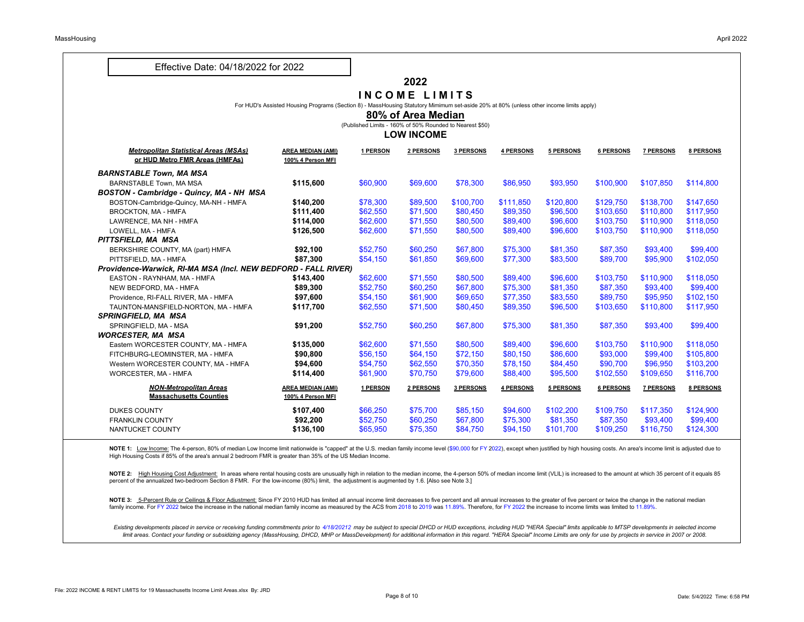#### **2022**

#### **I N C O M E L I M I T S**

For HUD's Assisted Housing Programs (Section 8) - MassHousing Statutory Mimimum set-aside 20% at 80% (unless other income limits apply)

**80% of Area Median**

(Published Limits - 160% of 50% Rounded to Nearest \$50)

#### **LOW INCOME**

|                                                                                |                                               |                 | LVII 111VVIIL |                  |                  |           |                  |                  |                  |
|--------------------------------------------------------------------------------|-----------------------------------------------|-----------------|---------------|------------------|------------------|-----------|------------------|------------------|------------------|
| <b>Metropolitan Statistical Areas (MSAs)</b><br>or HUD Metro FMR Areas (HMFAs) | <b>AREA MEDIAN (AMI)</b><br>100% 4 Person MFI | <u>1 PERSON</u> | 2 PERSONS     | <b>3 PERSONS</b> | 4 PERSONS        | 5 PERSONS | 6 PERSONS        | <b>7 PERSONS</b> | <b>8 PERSONS</b> |
| <b>BARNSTABLE Town, MA MSA</b>                                                 |                                               |                 |               |                  |                  |           |                  |                  |                  |
| <b>BARNSTABLE Town, MA MSA</b>                                                 | \$115,600                                     | \$60,900        | \$69,600      | \$78,300         | \$86,950         | \$93,950  | \$100,900        | \$107,850        | \$114,800        |
| <b>BOSTON - Cambridge - Quincy, MA - NH MSA</b>                                |                                               |                 |               |                  |                  |           |                  |                  |                  |
| BOSTON-Cambridge-Quincy, MA-NH - HMFA                                          | \$140,200                                     | \$78,300        | \$89,500      | \$100,700        | \$111,850        | \$120,800 | \$129,750        | \$138,700        | \$147,650        |
| <b>BROCKTON, MA - HMFA</b>                                                     | \$111,400                                     | \$62,550        | \$71,500      | \$80,450         | \$89,350         | \$96,500  | \$103,650        | \$110,800        | \$117,950        |
| LAWRENCE, MA NH - HMFA                                                         | \$114,000                                     | \$62,600        | \$71,550      | \$80,500         | \$89,400         | \$96,600  | \$103,750        | \$110,900        | \$118,050        |
| LOWELL, MA - HMFA                                                              | \$126,500                                     | \$62,600        | \$71,550      | \$80,500         | \$89,400         | \$96,600  | \$103,750        | \$110,900        | \$118,050        |
| PITTSFIELD, MA MSA                                                             |                                               |                 |               |                  |                  |           |                  |                  |                  |
| BERKSHIRE COUNTY, MA (part) HMFA                                               | \$92,100                                      | \$52,750        | \$60,250      | \$67,800         | \$75,300         | \$81,350  | \$87,350         | \$93,400         | \$99,400         |
| PITTSFIELD, MA - HMFA                                                          | \$87,300                                      | \$54,150        | \$61,850      | \$69,600         | \$77,300         | \$83,500  | \$89,700         | \$95,900         | \$102,050        |
| Providence-Warwick, RI-MA MSA (Incl. NEW BEDFORD - FALL RIVER)                 |                                               |                 |               |                  |                  |           |                  |                  |                  |
| EASTON - RAYNHAM, MA - HMFA                                                    | \$143,400                                     | \$62,600        | \$71,550      | \$80,500         | \$89,400         | \$96,600  | \$103,750        | \$110,900        | \$118,050        |
| NEW BEDFORD, MA - HMFA                                                         | \$89,300                                      | \$52,750        | \$60,250      | \$67,800         | \$75,300         | \$81,350  | \$87,350         | \$93,400         | \$99,400         |
| Providence, RI-FALL RIVER, MA - HMFA                                           | \$97,600                                      | \$54,150        | \$61,900      | \$69,650         | \$77,350         | \$83,550  | \$89,750         | \$95,950         | \$102,150        |
| TAUNTON-MANSFIELD-NORTON, MA - HMFA                                            | \$117,700                                     | \$62,550        | \$71,500      | \$80,450         | \$89,350         | \$96,500  | \$103,650        | \$110,800        | \$117,950        |
| <b>SPRINGFIELD, MA MSA</b>                                                     |                                               |                 |               |                  |                  |           |                  |                  |                  |
| SPRINGFIELD, MA - MSA                                                          | \$91,200                                      | \$52,750        | \$60,250      | \$67,800         | \$75,300         | \$81,350  | \$87,350         | \$93,400         | \$99,400         |
| <b>WORCESTER, MA MSA</b>                                                       |                                               |                 |               |                  |                  |           |                  |                  |                  |
| Eastern WORCESTER COUNTY, MA - HMFA                                            | \$135,000                                     | \$62,600        | \$71,550      | \$80,500         | \$89,400         | \$96,600  | \$103,750        | \$110,900        | \$118,050        |
| FITCHBURG-LEOMINSTER, MA - HMFA                                                | \$90,800                                      | \$56,150        | \$64,150      | \$72,150         | \$80,150         | \$86,600  | \$93,000         | \$99,400         | \$105,800        |
| Western WORCESTER COUNTY, MA - HMFA                                            | \$94,600                                      | \$54,750        | \$62,550      | \$70,350         | \$78,150         | \$84,450  | \$90,700         | \$96,950         | \$103,200        |
| <b>WORCESTER, MA - HMFA</b>                                                    | \$114,400                                     | \$61,900        | \$70,750      | \$79,600         | \$88,400         | \$95,500  | \$102,550        | \$109,650        | \$116,700        |
| <b>NON-Metropolitan Areas</b>                                                  | <b>AREA MEDIAN (AMI)</b>                      | <u>1 PERSON</u> | 2 PERSONS     | 3 PERSONS        | <u>4 PERSONS</u> | 5 PERSONS | <b>6 PERSONS</b> | <b>7 PERSONS</b> | <b>8 PERSONS</b> |
| <b>Massachusetts Counties</b>                                                  | 100% 4 Person MFI                             |                 |               |                  |                  |           |                  |                  |                  |
| <b>DUKES COUNTY</b>                                                            | \$107,400                                     | \$66,250        | \$75,700      | \$85,150         | \$94,600         | \$102,200 | \$109,750        | \$117,350        | \$124,900        |
| <b>FRANKLIN COUNTY</b>                                                         | \$92,200                                      | \$52,750        | \$60,250      | \$67,800         | \$75,300         | \$81,350  | \$87,350         | \$93,400         | \$99,400         |
| NANTUCKET COUNTY                                                               | \$136,100                                     | \$65,950        | \$75,350      | \$84,750         | \$94,150         | \$101,700 | \$109,250        | \$116,750        | \$124,300        |

NOTE 1: Low Income: The 4-person, 80% of median Low Income limit nationwide is "capped" at the U.S. median family income level (\$90,000 for FY 2022), except when justified by high housing costs. An area's income limit is a High Housing Costs if 85% of the area's annual 2 bedroom FMR is greater than 35% of the US Median Income.

NOTE 2: High Housing Cost Adjustment: In areas where rental housing costs are unusually high in relation to the median income, the 4-person 50% of median income limit (VLIL) is increased to the amount at which 35 percent o percent of the annualized two-bedroom Section 8 FMR. For the low-income (80%) limit, the adjustment is augmented by 1.6. [Also see Note 3.]

NOTE 3: 5-Percent Rule or Ceilings & Floor Adjustment: Since FY 2010 HUD has limited all annual income limit decreases to five percent and all annual increases to the greater of five percent or twice the change in the nati family income. For FY 2022 twice the increase in the national median family income as measured by the ACS from 2018 to 2019 was 11.89%. Therefore, for FY 2022 the increase to income limits was limited to 11.89%.

Existing developments placed in service or receiving funding commitments prior to 4/18/20212 may be subject to special DHCD or HUD exceptions, including HUD "HERA Special" limits applicable to MTSP developments in selected limit areas. Contact your funding or subsidizing agency (MassHousing, DHCD, MHP or MassDevelopment) for additional information in this regard. "HERA Special" Income Limits are only for use by projects in service in 2007 or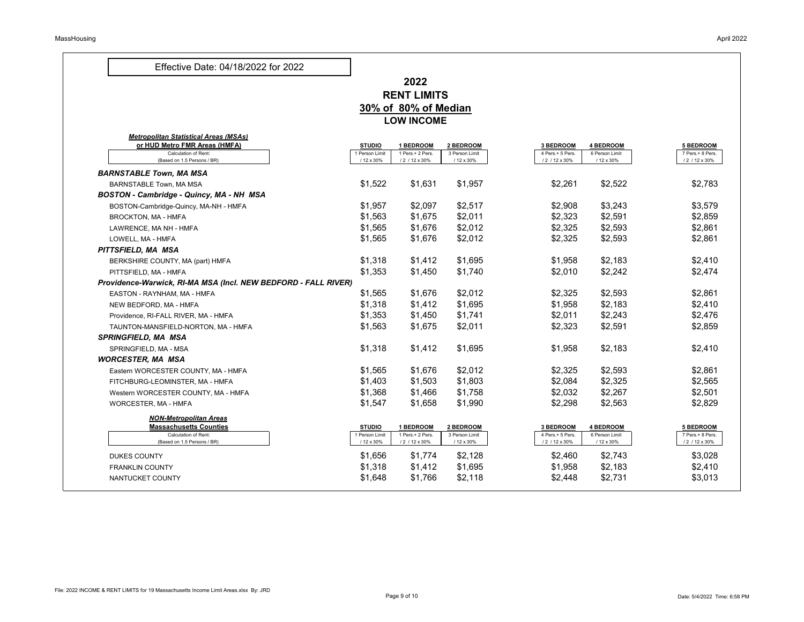### **2022 RENT LIMITS 30% of 80% of Median LOW INCOME**

| or HUD Metro FMR Areas (HMFA)                                  | <b>STUDIO</b>                | <b>1 BEDROOM</b>                   | 2 BEDROOM                    | <b>3 BEDROOM</b>                   | <b>4 BEDROOM</b>             | <b>5 BEDROOM</b>                   |
|----------------------------------------------------------------|------------------------------|------------------------------------|------------------------------|------------------------------------|------------------------------|------------------------------------|
| <b>Calculation of Rent:</b><br>(Based on 1.5 Persons / BR)     | 1 Person Limit<br>/ 12 x 30% | 1 Pers.+ 2 Pers.<br>/ 2 / 12 x 30% | 3 Person Limit<br>/ 12 x 30% | 4 Pers.+ 5 Pers.<br>/ 2 / 12 x 30% | 6 Person Limit<br>/ 12 x 30% | 7 Pers.+ 8 Pers.<br>/ 2 / 12 x 30% |
| <b>BARNSTABLE Town, MA MSA</b>                                 |                              |                                    |                              |                                    |                              |                                    |
| <b>BARNSTABLE Town, MA MSA</b>                                 | \$1,522                      | \$1,631                            | \$1,957                      | \$2,261                            | \$2,522                      | \$2,783                            |
| <b>BOSTON - Cambridge - Quincy, MA - NH MSA</b>                |                              |                                    |                              |                                    |                              |                                    |
| BOSTON-Cambridge-Quincy, MA-NH - HMFA                          | \$1,957                      | \$2,097                            | \$2,517                      | \$2,908                            | \$3,243                      | \$3,579                            |
| <b>BROCKTON, MA - HMFA</b>                                     | \$1,563                      | \$1,675                            | \$2,011                      | \$2,323                            | \$2,591                      | \$2,859                            |
| LAWRENCE, MA NH - HMFA                                         | \$1,565                      | \$1,676                            | \$2,012                      | \$2,325                            | \$2,593                      | \$2,861                            |
| LOWELL, MA - HMFA                                              | \$1,565                      | \$1,676                            | \$2,012                      | \$2,325                            | \$2,593                      | \$2,861                            |
| PITTSFIELD, MA MSA                                             |                              |                                    |                              |                                    |                              |                                    |
| BERKSHIRE COUNTY, MA (part) HMFA                               | \$1,318                      | \$1,412                            | \$1,695                      | \$1,958                            | \$2,183                      | \$2,410                            |
| PITTSFIELD, MA - HMFA                                          | \$1,353                      | \$1,450                            | \$1,740                      | \$2,010                            | \$2,242                      | \$2,474                            |
| Providence-Warwick, RI-MA MSA (Incl. NEW BEDFORD - FALL RIVER) |                              |                                    |                              |                                    |                              |                                    |
| EASTON - RAYNHAM, MA - HMFA                                    | \$1,565                      | \$1,676                            | \$2,012                      | \$2,325                            | \$2,593                      | \$2,861                            |
| NEW BEDFORD, MA - HMFA                                         | \$1,318                      | \$1,412                            | \$1,695                      | \$1,958                            | \$2,183                      | \$2,410                            |
| Providence, RI-FALL RIVER, MA - HMFA                           | \$1,353                      | \$1,450                            | \$1,741                      | \$2,011                            | \$2,243                      | \$2,476                            |
| TAUNTON-MANSFIELD-NORTON, MA - HMFA                            | \$1,563                      | \$1,675                            | \$2,011                      | \$2,323                            | \$2,591                      | \$2,859                            |
| <b>SPRINGFIELD, MA MSA</b>                                     |                              |                                    |                              |                                    |                              |                                    |
| SPRINGFIELD, MA - MSA                                          | \$1,318                      | \$1,412                            | \$1,695                      | \$1,958                            | \$2,183                      | \$2,410                            |
| <b>WORCESTER, MA MSA</b>                                       |                              |                                    |                              |                                    |                              |                                    |
| Eastern WORCESTER COUNTY, MA - HMFA                            | \$1,565                      | \$1,676                            | \$2,012                      | \$2,325                            | \$2,593                      | \$2,861                            |
| FITCHBURG-LEOMINSTER, MA - HMFA                                | \$1,403                      | \$1,503                            | \$1,803                      | \$2,084                            | \$2,325                      | \$2,565                            |
| Western WORCESTER COUNTY, MA - HMFA                            | \$1,368                      | \$1,466                            | \$1,758                      | \$2,032                            | \$2,267                      | \$2,501                            |
| <b>WORCESTER, MA - HMFA</b>                                    | \$1,547                      | \$1,658                            | \$1,990                      | \$2,298                            | \$2,563                      | \$2,829                            |
| <b>NON-Metropolitan Areas</b>                                  |                              |                                    |                              |                                    |                              |                                    |
| <b>Massachusetts Counties</b>                                  | <b>STUDIO</b>                | <b>BEDROOM</b>                     | 2 BEDROOM                    | <b>3 BEDROOM</b>                   | <b>4 BEDROOM</b>             | <b>5 BEDROOM</b>                   |
| <b>Calculation of Rent:</b><br>(Based on 1.5 Persons / BR)     | 1 Person Limit<br>/ 12 x 30% | 1 Pers.+ 2 Pers.<br>/ 2 / 12 x 30% | 3 Person Limit<br>/ 12 x 30% | 4 Pers.+ 5 Pers.<br>/ 2 / 12 x 30% | 6 Person Limit<br>/ 12 x 30% | 7 Pers.+ 8 Pers.<br>/ 2 / 12 x 30% |
| <b>DUKES COUNTY</b>                                            | \$1,656                      | \$1,774                            | \$2,128                      | \$2,460                            | \$2,743                      | \$3,028                            |
| <b>FRANKLIN COUNTY</b>                                         | \$1,318                      | \$1,412                            | \$1,695                      | \$1,958                            | \$2,183                      | \$2,410                            |
| NANTUCKET COUNTY                                               | \$1,648                      | \$1,766                            | \$2,118                      | \$2,448                            | \$2,731                      | \$3,013                            |